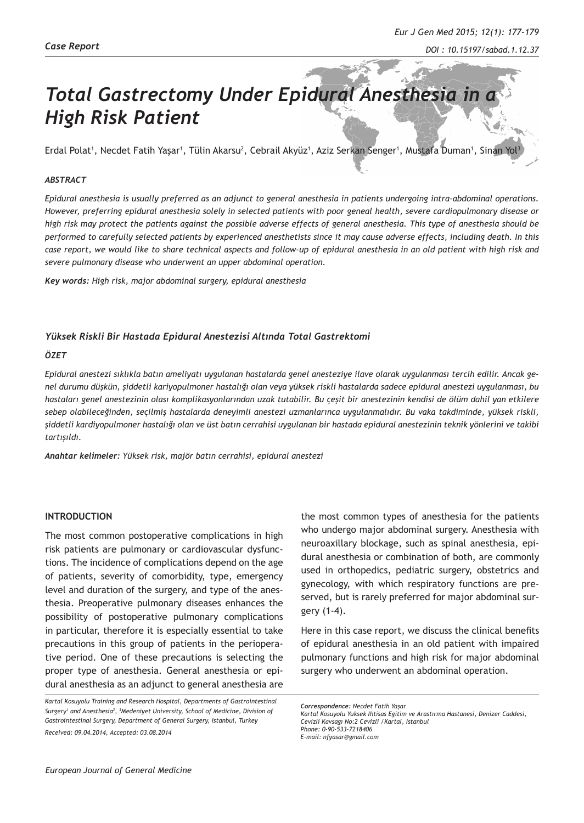# *Total Gastrectomy Under Epidural Anesthesia in a High Risk Patient*

Erdal Polat', Necdet Fatih Yaşar', Tülin Akarsu<sup>2</sup>, Cebrail Akyüz', Aziz Serkan Senger', Mustafa Duman', Sinan Yol<sup>3</sup>

### *ABSTRACT*

*Epidural anesthesia is usually preferred as an adjunct to general anesthesia in patients undergoing intra-abdominal operations. However, preferring epidural anesthesia solely in selected patients with poor geneal health, severe cardiopulmonary disease or high risk may protect the patients against the possible adverse effects of general anesthesia. This type of anesthesia should be performed to carefully selected patients by experienced anesthetists since it may cause adverse effects, including death. In this case report, we would like to share technical aspects and follow-up of epidural anesthesia in an old patient with high risk and severe pulmonary disease who underwent an upper abdominal operation.*

*Key words: High risk, major abdominal surgery, epidural anesthesia*

### *Yüksek Riskli Bir Hastada Epidural Anestezisi Altında Total Gastrektomi*

#### *ÖZET*

*Epidural anestezi sıklıkla batın ameliyatı uygulanan hastalarda genel anesteziye ilave olarak uygulanması tercih edilir. Ancak genel durumu düşkün, şiddetli kariyopulmoner hastalığı olan veya yüksek riskli hastalarda sadece epidural anestezi uygulanması, bu hastaları genel anestezinin olası komplikasyonlarından uzak tutabilir. Bu çeşit bir anestezinin kendisi de ölüm dahil yan etkilere sebep olabileceğinden, seçilmiş hastalarda deneyimli anestezi uzmanlarınca uygulanmalıdır. Bu vaka takdiminde, yüksek riskli, şiddetli kardiyopulmoner hastalığı olan ve üst batın cerrahisi uygulanan bir hastada epidural anestezinin teknik yönlerini ve takibi tartışıldı.*

*Anahtar kelimeler: Yüksek risk, majör batın cerrahisi, epidural anestezi*

### **INTRODUCTION**

The most common postoperative complications in high risk patients are pulmonary or cardiovascular dysfunctions. The incidence of complications depend on the age of patients, severity of comorbidity, type, emergency level and duration of the surgery, and type of the anesthesia. Preoperative pulmonary diseases enhances the possibility of postoperative pulmonary complications in particular, therefore it is especially essential to take precautions in this group of patients in the perioperative period. One of these precautions is selecting the proper type of anesthesia. General anesthesia or epidural anesthesia as an adjunct to general anesthesia are

*Kartal Kosuyolu Training and Research Hospital, Departments of Gastrointestinal Surgery1 and Anesthesia<sup>2</sup> , 3 Medeniyet University, School of Medicine, Division of Gastrointestinal Surgery, Department of General Surgery, Istanbul, Turkey*

*Received: 09.04.2014, Accepted: 03.08.2014*

the most common types of anesthesia for the patients who undergo major abdominal surgery. Anesthesia with neuroaxillary blockage, such as spinal anesthesia, epidural anesthesia or combination of both, are commonly used in orthopedics, pediatric surgery, obstetrics and gynecology, with which respiratory functions are preserved, but is rarely preferred for major abdominal surgery (1-4).

Here in this case report, we discuss the clinical benefits of epidural anesthesia in an old patient with impaired pulmonary functions and high risk for major abdominal surgery who underwent an abdominal operation.

*Correspondence: Necdet Fatih Yaşar Kartal Kosuyolu Yuksek Ihtisas Egitim ve Arastırma Hastanesi, Denizer Caddesi, Cevizli Kavsagı No:2 Cevizli /Kartal, Istanbul Phone: 0-90-533-7218406 E-mail: nfyasar@gmail.com*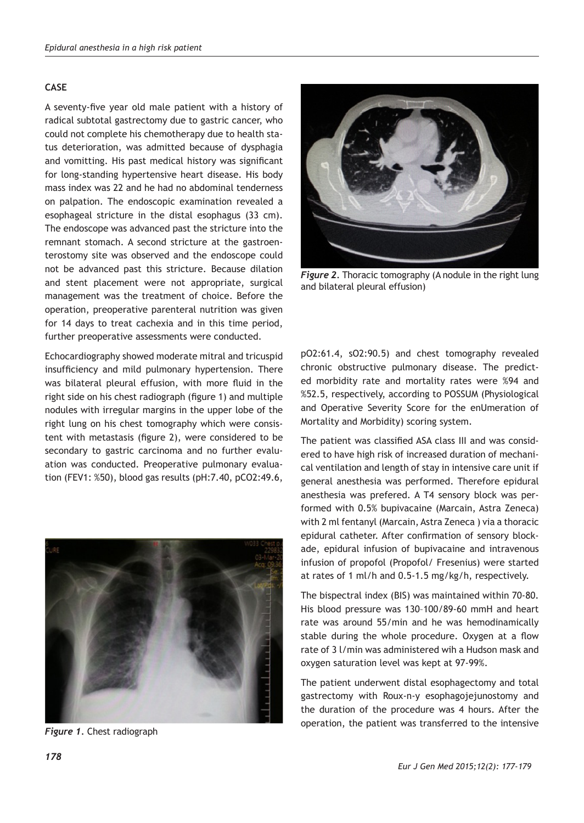## **CASE**

A seventy-five year old male patient with a history of radical subtotal gastrectomy due to gastric cancer, who could not complete his chemotherapy due to health status deterioration, was admitted because of dysphagia and vomitting. His past medical history was significant for long-standing hypertensive heart disease. His body mass index was 22 and he had no abdominal tenderness on palpation. The endoscopic examination revealed a esophageal stricture in the distal esophagus (33 cm). The endoscope was advanced past the stricture into the remnant stomach. A second stricture at the gastroenterostomy site was observed and the endoscope could not be advanced past this stricture. Because dilation and stent placement were not appropriate, surgical management was the treatment of choice. Before the operation, preoperative parenteral nutrition was given for 14 days to treat cachexia and in this time period, further preoperative assessments were conducted.

Echocardiography showed moderate mitral and tricuspid insufficiency and mild pulmonary hypertension. There was bilateral pleural effusion, with more fluid in the right side on his chest radiograph (figure 1) and multiple nodules with irregular margins in the upper lobe of the right lung on his chest tomography which were consistent with metastasis (figure 2), were considered to be secondary to gastric carcinoma and no further evaluation was conducted. Preoperative pulmonary evaluation (FEV1: %50), blood gas results (pH:7.40, pCO2:49.6,



*Figure 1.* Chest radiograph



*Figure 2. Thoracic tomography (A nodule in the right lung* and bilateral pleural effusion)

pO2:61.4, sO2:90.5) and chest tomography revealed chronic obstructive pulmonary disease. The predicted morbidity rate and mortality rates were %94 and %52.5, respectively, according to POSSUM (Physiological and Operative Severity Score for the enUmeration of Mortality and Morbidity) scoring system.

The patient was classified ASA class III and was considered to have high risk of increased duration of mechanical ventilation and length of stay in intensive care unit if general anesthesia was performed. Therefore epidural anesthesia was prefered. A T4 sensory block was performed with 0.5% bupivacaine (Marcain, Astra Zeneca) with 2 ml fentanyl (Marcain, Astra Zeneca ) via a thoracic epidural catheter. After confirmation of sensory blockade, epidural infusion of bupivacaine and intravenous infusion of propofol (Propofol/ Fresenius) were started at rates of 1 ml/h and 0.5-1.5 mg/kg/h, respectively.

The bispectral index (BIS) was maintained within 70-80. His blood pressure was 130–100/89-60 mmH and heart rate was around 55/min and he was hemodinamically stable during the whole procedure. Oxygen at a flow rate of 3 l/min was administered wih a Hudson mask and oxygen saturation level was kept at 97-99%.

The patient underwent distal esophagectomy and total gastrectomy with Roux-n-y esophagojejunostomy and the duration of the procedure was 4 hours. After the operation, the patient was transferred to the intensive